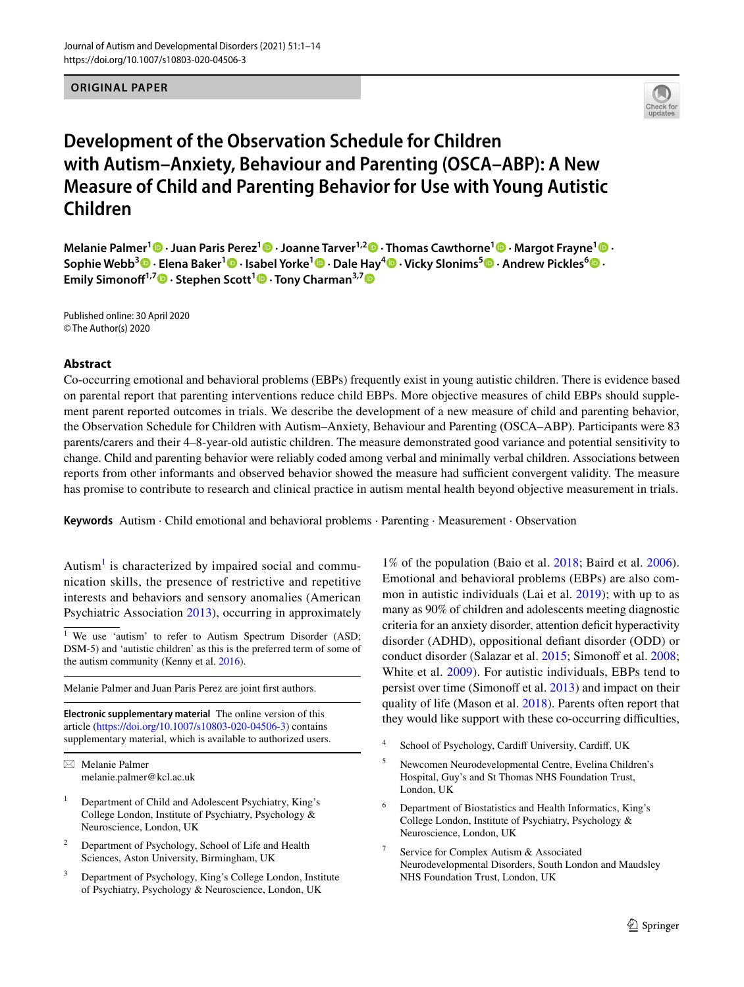**ORIGINAL PAPER**



# **Development of the Observation Schedule for Children with Autism–Anxiety, Behaviour and Parenting (OSCA–ABP): A New Measure of Child and Parenting Behavior for Use with Young Autistic Children**



Published online: 30 April 2020 © The Author(s) 2020

#### **Abstract**

Co-occurring emotional and behavioral problems (EBPs) frequently exist in young autistic children. There is evidence based on parental report that parenting interventions reduce child EBPs. More objective measures of child EBPs should supplement parent reported outcomes in trials. We describe the development of a new measure of child and parenting behavior, the Observation Schedule for Children with Autism–Anxiety, Behaviour and Parenting (OSCA–ABP). Participants were 83 parents/carers and their 4–8-year-old autistic children. The measure demonstrated good variance and potential sensitivity to change. Child and parenting behavior were reliably coded among verbal and minimally verbal children. Associations between reports from other informants and observed behavior showed the measure had sufficient convergent validity. The measure has promise to contribute to research and clinical practice in autism mental health beyond objective measurement in trials.

**Keywords** Autism · Child emotional and behavioral problems · Parenting · Measurement · Observation

Autism<sup>[1](#page-0-0)</sup> is characterized by impaired social and communication skills, the presence of restrictive and repetitive interests and behaviors and sensory anomalies (American Psychiatric Association [2013\)](#page-11-0), occurring in approximately

<span id="page-0-0"></span><sup>1</sup> We use 'autism' to refer to Autism Spectrum Disorder (ASD; DSM-5) and 'autistic children' as this is the preferred term of some of the autism community (Kenny et al. [2016](#page-12-0)).

Melanie Palmer and Juan Paris Perez are joint frst authors.

**Electronic supplementary material** The online version of this article [\(https://doi.org/10.1007/s10803-020-04506-3\)](https://doi.org/10.1007/s10803-020-04506-3) contains supplementary material, which is available to authorized users.

 $\boxtimes$  Melanie Palmer melanie.palmer@kcl.ac.uk

- <sup>1</sup> Department of Child and Adolescent Psychiatry, King's College London, Institute of Psychiatry, Psychology & Neuroscience, London, UK
- <sup>2</sup> Department of Psychology, School of Life and Health Sciences, Aston University, Birmingham, UK
- Department of Psychology, King's College London, Institute of Psychiatry, Psychology & Neuroscience, London, UK

1% of the population (Baio et al. [2018;](#page-11-1) Baird et al. [2006](#page-11-2)). Emotional and behavioral problems (EBPs) are also common in autistic individuals (Lai et al. [2019\)](#page-12-1); with up to as many as 90% of children and adolescents meeting diagnostic criteria for an anxiety disorder, attention deficit hyperactivity disorder (ADHD), oppositional defant disorder (ODD) or conduct disorder (Salazar et al. [2015](#page-12-2); Simonoff et al. [2008](#page-12-3); White et al. [2009\)](#page-13-0). For autistic individuals, EBPs tend to persist over time (Simonoff et al. [2013\)](#page-12-4) and impact on their quality of life (Mason et al. [2018](#page-12-5)). Parents often report that they would like support with these co-occurring difficulties,

- School of Psychology, Cardiff University, Cardiff, UK
- <sup>5</sup> Newcomen Neurodevelopmental Centre, Evelina Children's Hospital, Guy's and St Thomas NHS Foundation Trust, London, UK
- <sup>6</sup> Department of Biostatistics and Health Informatics, King's College London, Institute of Psychiatry, Psychology & Neuroscience, London, UK
- <sup>7</sup> Service for Complex Autism & Associated Neurodevelopmental Disorders, South London and Maudsley NHS Foundation Trust, London, UK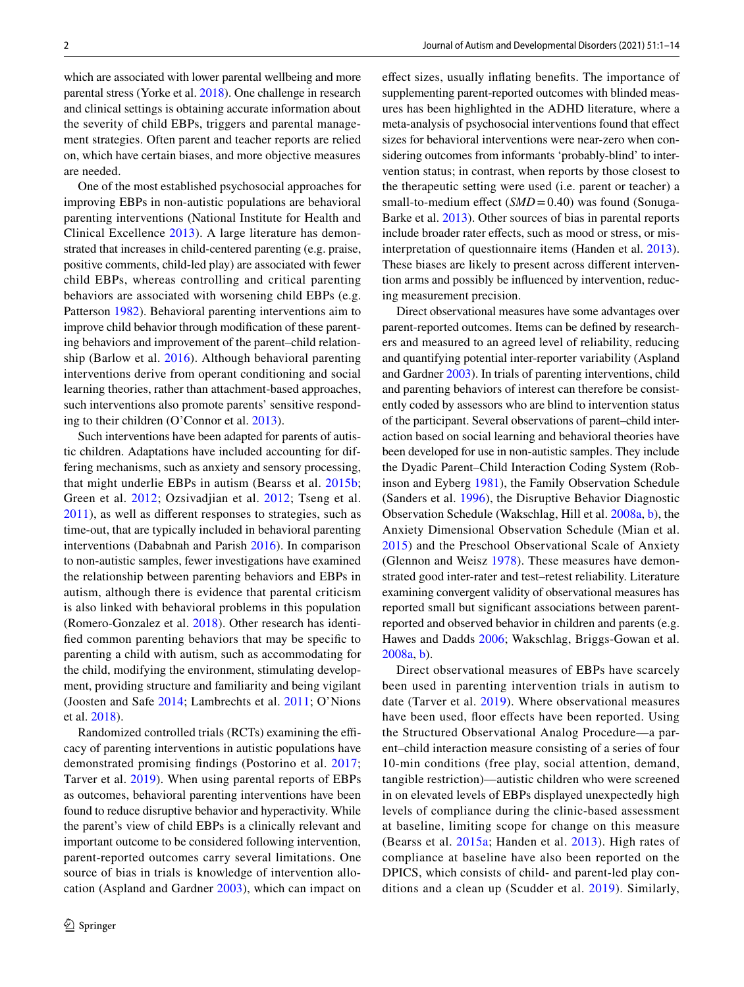which are associated with lower parental wellbeing and more parental stress (Yorke et al. [2018\)](#page-13-1). One challenge in research and clinical settings is obtaining accurate information about the severity of child EBPs, triggers and parental management strategies. Often parent and teacher reports are relied on, which have certain biases, and more objective measures

are needed. One of the most established psychosocial approaches for improving EBPs in non-autistic populations are behavioral parenting interventions (National Institute for Health and Clinical Excellence [2013](#page-12-6)). A large literature has demonstrated that increases in child-centered parenting (e.g. praise, positive comments, child-led play) are associated with fewer child EBPs, whereas controlling and critical parenting behaviors are associated with worsening child EBPs (e.g. Patterson [1982\)](#page-12-7). Behavioral parenting interventions aim to improve child behavior through modifcation of these parenting behaviors and improvement of the parent–child relationship (Barlow et al. [2016](#page-11-3)). Although behavioral parenting interventions derive from operant conditioning and social learning theories, rather than attachment-based approaches, such interventions also promote parents' sensitive responding to their children (O'Connor et al. [2013](#page-12-8)).

Such interventions have been adapted for parents of autistic children. Adaptations have included accounting for differing mechanisms, such as anxiety and sensory processing, that might underlie EBPs in autism (Bearss et al. [2015b](#page-11-4); Green et al. [2012](#page-12-9); Ozsivadjian et al. [2012](#page-12-10); Tseng et al. [2011](#page-13-2)), as well as diferent responses to strategies, such as time-out, that are typically included in behavioral parenting interventions (Dababnah and Parish [2016](#page-11-5)). In comparison to non-autistic samples, fewer investigations have examined the relationship between parenting behaviors and EBPs in autism, although there is evidence that parental criticism is also linked with behavioral problems in this population (Romero-Gonzalez et al. [2018\)](#page-12-11). Other research has identifed common parenting behaviors that may be specifc to parenting a child with autism, such as accommodating for the child, modifying the environment, stimulating development, providing structure and familiarity and being vigilant (Joosten and Safe [2014](#page-12-12); Lambrechts et al. [2011](#page-12-13); O'Nions et al. [2018](#page-12-14)).

Randomized controlled trials (RCTs) examining the efficacy of parenting interventions in autistic populations have demonstrated promising fndings (Postorino et al. [2017](#page-12-15); Tarver et al. [2019](#page-13-3)). When using parental reports of EBPs as outcomes, behavioral parenting interventions have been found to reduce disruptive behavior and hyperactivity. While the parent's view of child EBPs is a clinically relevant and important outcome to be considered following intervention, parent-reported outcomes carry several limitations. One source of bias in trials is knowledge of intervention allocation (Aspland and Gardner [2003](#page-11-6)), which can impact on efect sizes, usually infating benefts. The importance of supplementing parent-reported outcomes with blinded measures has been highlighted in the ADHD literature, where a meta-analysis of psychosocial interventions found that efect sizes for behavioral interventions were near-zero when considering outcomes from informants 'probably-blind' to intervention status; in contrast, when reports by those closest to the therapeutic setting were used (i.e. parent or teacher) a small-to-medium effect (*SMD* = 0.40) was found (Sonuga-Barke et al. [2013\)](#page-12-16). Other sources of bias in parental reports include broader rater effects, such as mood or stress, or misinterpretation of questionnaire items (Handen et al. [2013](#page-12-17)). These biases are likely to present across diferent intervention arms and possibly be infuenced by intervention, reducing measurement precision.

Direct observational measures have some advantages over parent-reported outcomes. Items can be defned by researchers and measured to an agreed level of reliability, reducing and quantifying potential inter-reporter variability (Aspland and Gardner [2003](#page-11-6)). In trials of parenting interventions, child and parenting behaviors of interest can therefore be consistently coded by assessors who are blind to intervention status of the participant. Several observations of parent–child interaction based on social learning and behavioral theories have been developed for use in non-autistic samples. They include the Dyadic Parent–Child Interaction Coding System (Robinson and Eyberg [1981](#page-12-18)), the Family Observation Schedule (Sanders et al. [1996\)](#page-12-19), the Disruptive Behavior Diagnostic Observation Schedule (Wakschlag, Hill et al. [2008a,](#page-13-4) [b\)](#page-13-5), the Anxiety Dimensional Observation Schedule (Mian et al. [2015\)](#page-12-20) and the Preschool Observational Scale of Anxiety (Glennon and Weisz [1978\)](#page-11-7). These measures have demonstrated good inter-rater and test–retest reliability. Literature examining convergent validity of observational measures has reported small but signifcant associations between parentreported and observed behavior in children and parents (e.g. Hawes and Dadds [2006](#page-12-21); Wakschlag, Briggs-Gowan et al. [2008a,](#page-13-4) [b\)](#page-13-5).

Direct observational measures of EBPs have scarcely been used in parenting intervention trials in autism to date (Tarver et al. [2019\)](#page-13-3). Where observational measures have been used, floor effects have been reported. Using the Structured Observational Analog Procedure—a parent–child interaction measure consisting of a series of four 10-min conditions (free play, social attention, demand, tangible restriction)—autistic children who were screened in on elevated levels of EBPs displayed unexpectedly high levels of compliance during the clinic-based assessment at baseline, limiting scope for change on this measure (Bearss et al. [2015a](#page-11-8); Handen et al. [2013\)](#page-12-17). High rates of compliance at baseline have also been reported on the DPICS, which consists of child- and parent-led play conditions and a clean up (Scudder et al. [2019\)](#page-12-22). Similarly,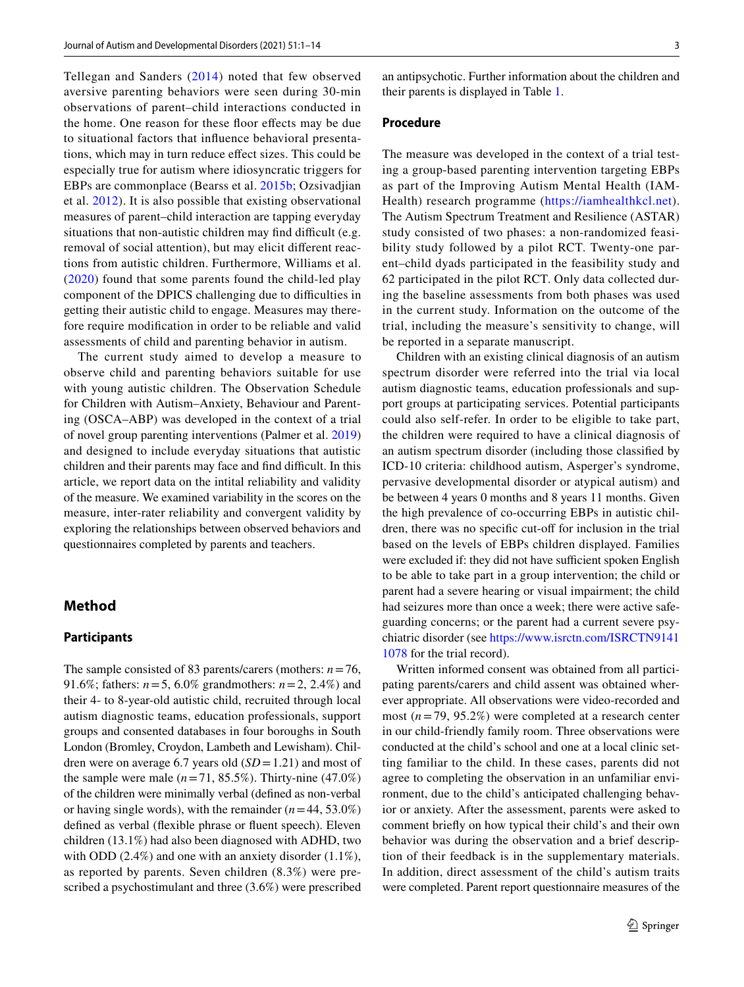Tellegan and Sanders ([2014](#page-13-6)) noted that few observed aversive parenting behaviors were seen during 30-min observations of parent–child interactions conducted in the home. One reason for these foor efects may be due to situational factors that infuence behavioral presentations, which may in turn reduce efect sizes. This could be especially true for autism where idiosyncratic triggers for EBPs are commonplace (Bearss et al. [2015b](#page-11-4); Ozsivadjian et al. [2012\)](#page-12-10). It is also possible that existing observational measures of parent–child interaction are tapping everyday situations that non-autistic children may find difficult (e.g. removal of social attention), but may elicit diferent reactions from autistic children. Furthermore, Williams et al. ([2020\)](#page-13-7) found that some parents found the child-led play component of the DPICS challenging due to difficulties in getting their autistic child to engage. Measures may therefore require modifcation in order to be reliable and valid assessments of child and parenting behavior in autism.

The current study aimed to develop a measure to observe child and parenting behaviors suitable for use with young autistic children. The Observation Schedule for Children with Autism–Anxiety, Behaviour and Parenting (OSCA–ABP) was developed in the context of a trial of novel group parenting interventions (Palmer et al. [2019\)](#page-12-23) and designed to include everyday situations that autistic children and their parents may face and find difficult. In this article, we report data on the intital reliability and validity of the measure. We examined variability in the scores on the measure, inter-rater reliability and convergent validity by exploring the relationships between observed behaviors and questionnaires completed by parents and teachers.

# **Method**

#### **Participants**

The sample consisted of 83 parents/carers (mothers: *n*=76, 91.6%; fathers: *n*=5, 6.0% grandmothers: *n*=2, 2.4%) and their 4- to 8-year-old autistic child, recruited through local autism diagnostic teams, education professionals, support groups and consented databases in four boroughs in South London (Bromley, Croydon, Lambeth and Lewisham). Children were on average 6.7 years old (*SD*=1.21) and most of the sample were male  $(n=71, 85.5\%)$ . Thirty-nine (47.0%) of the children were minimally verbal (defned as non-verbal or having single words), with the remainder (*n*=44, 53.0%) defned as verbal (fexible phrase or fuent speech). Eleven children (13.1%) had also been diagnosed with ADHD, two with ODD  $(2.4\%)$  and one with an anxiety disorder  $(1.1\%)$ , as reported by parents. Seven children (8.3%) were prescribed a psychostimulant and three (3.6%) were prescribed an antipsychotic. Further information about the children and their parents is displayed in Table [1](#page-3-0).

## **Procedure**

The measure was developed in the context of a trial testing a group-based parenting intervention targeting EBPs as part of the Improving Autism Mental Health (IAM-Health) research programme (<https://iamhealthkcl.net>). The Autism Spectrum Treatment and Resilience (ASTAR) study consisted of two phases: a non-randomized feasibility study followed by a pilot RCT. Twenty-one parent–child dyads participated in the feasibility study and 62 participated in the pilot RCT. Only data collected during the baseline assessments from both phases was used in the current study. Information on the outcome of the trial, including the measure's sensitivity to change, will be reported in a separate manuscript.

Children with an existing clinical diagnosis of an autism spectrum disorder were referred into the trial via local autism diagnostic teams, education professionals and support groups at participating services. Potential participants could also self-refer. In order to be eligible to take part, the children were required to have a clinical diagnosis of an autism spectrum disorder (including those classifed by ICD-10 criteria: childhood autism, Asperger's syndrome, pervasive developmental disorder or atypical autism) and be between 4 years 0 months and 8 years 11 months. Given the high prevalence of co-occurring EBPs in autistic children, there was no specific cut-off for inclusion in the trial based on the levels of EBPs children displayed. Families were excluded if: they did not have sufficient spoken English to be able to take part in a group intervention; the child or parent had a severe hearing or visual impairment; the child had seizures more than once a week; there were active safeguarding concerns; or the parent had a current severe psychiatric disorder (see [https://www.isrctn.com/ISRCTN9141](https://www.isrctn.com/ISRCTN91411078) [1078](https://www.isrctn.com/ISRCTN91411078) for the trial record).

Written informed consent was obtained from all participating parents/carers and child assent was obtained wherever appropriate. All observations were video-recorded and most (*n*=79, 95.2%) were completed at a research center in our child-friendly family room. Three observations were conducted at the child's school and one at a local clinic setting familiar to the child. In these cases, parents did not agree to completing the observation in an unfamiliar environment, due to the child's anticipated challenging behavior or anxiety. After the assessment, parents were asked to comment briefy on how typical their child's and their own behavior was during the observation and a brief description of their feedback is in the supplementary materials. In addition, direct assessment of the child's autism traits were completed. Parent report questionnaire measures of the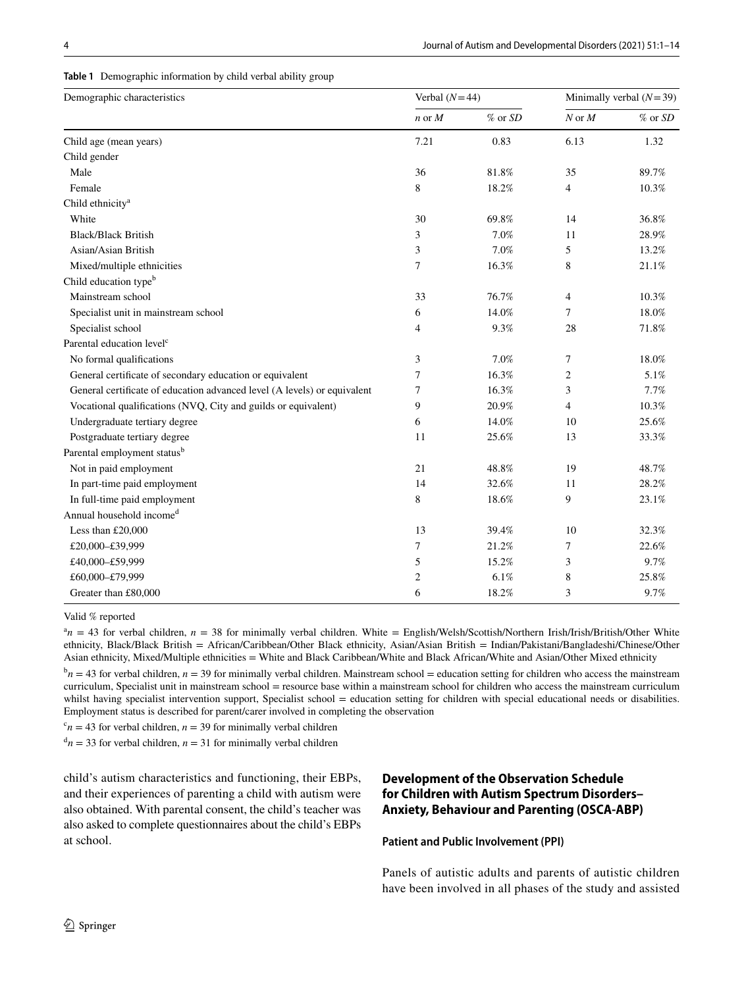| Demographic characteristics                                              | Verbal $(N=44)$   |         | Minimally verbal $(N=39)$ |             |
|--------------------------------------------------------------------------|-------------------|---------|---------------------------|-------------|
|                                                                          | $n \text{ or } M$ | % or SD | $N$ or $M$                | $%$ or $SD$ |
| Child age (mean years)                                                   | 7.21              | 0.83    | 6.13                      | 1.32        |
| Child gender                                                             |                   |         |                           |             |
| Male                                                                     | 36                | 81.8%   | 35                        | 89.7%       |
| Female                                                                   | 8                 | 18.2%   | 4                         | 10.3%       |
| Child ethnicity <sup>a</sup>                                             |                   |         |                           |             |
| White                                                                    | 30                | 69.8%   | 14                        | 36.8%       |
| <b>Black/Black British</b>                                               | 3                 | 7.0%    | 11                        | 28.9%       |
| Asian/Asian British                                                      | 3                 | 7.0%    | 5                         | 13.2%       |
| Mixed/multiple ethnicities                                               | 7                 | 16.3%   | 8                         | 21.1%       |
| Child education type <sup>b</sup>                                        |                   |         |                           |             |
| Mainstream school                                                        | 33                | 76.7%   | 4                         | 10.3%       |
| Specialist unit in mainstream school                                     | 6                 | 14.0%   | $\tau$                    | 18.0%       |
| Specialist school                                                        | $\overline{4}$    | 9.3%    | 28                        | 71.8%       |
| Parental education level <sup>c</sup>                                    |                   |         |                           |             |
| No formal qualifications                                                 | 3                 | 7.0%    | 7                         | 18.0%       |
| General certificate of secondary education or equivalent                 | 7                 | 16.3%   | $\overline{c}$            | 5.1%        |
| General certificate of education advanced level (A levels) or equivalent | 7                 | 16.3%   | 3                         | 7.7%        |
| Vocational qualifications (NVQ, City and guilds or equivalent)           | 9                 | 20.9%   | $\overline{4}$            | 10.3%       |
| Undergraduate tertiary degree                                            | 6                 | 14.0%   | 10                        | 25.6%       |
| Postgraduate tertiary degree                                             | 11                | 25.6%   | 13                        | 33.3%       |
| Parental employment status <sup>b</sup>                                  |                   |         |                           |             |
| Not in paid employment                                                   | 21                | 48.8%   | 19                        | 48.7%       |
| In part-time paid employment                                             | 14                | 32.6%   | 11                        | 28.2%       |
| In full-time paid employment                                             | 8                 | 18.6%   | 9                         | 23.1%       |
| Annual household income <sup>d</sup>                                     |                   |         |                           |             |
| Less than £20,000                                                        | 13                | 39.4%   | 10                        | 32.3%       |
| £20,000-£39,999                                                          | 7                 | 21.2%   | $\tau$                    | 22.6%       |
| £40,000-£59,999                                                          | 5                 | 15.2%   | 3                         | 9.7%        |
| £60,000-£79,999                                                          | $\mathfrak{2}$    | 6.1%    | 8                         | 25.8%       |
| Greater than £80,000                                                     | 6                 | 18.2%   | 3                         | 9.7%        |

#### <span id="page-3-0"></span>**Table 1** Demographic information by child verbal ability group

Valid % reported

 $n = 43$  for verbal children,  $n = 38$  for minimally verbal children. White = English/Welsh/Scottish/Northern Irish/Irish/British/Other White ethnicity, Black/Black British = African/Caribbean/Other Black ethnicity, Asian/Asian British = Indian/Pakistani/Bangladeshi/Chinese/Other Asian ethnicity, Mixed/Multiple ethnicities = White and Black Caribbean/White and Black African/White and Asian/Other Mixed ethnicity

 $b_n = 43$  for verbal children,  $n = 39$  for minimally verbal children. Mainstream school = education setting for children who access the mainstream curriculum, Specialist unit in mainstream school = resource base within a mainstream school for children who access the mainstream curriculum whilst having specialist intervention support, Specialist school = education setting for children with special educational needs or disabilities. Employment status is described for parent/carer involved in completing the observation

 $c_n = 43$  for verbal children,  $n = 39$  for minimally verbal children

 $\sigma_n^d$  = 33 for verbal children, *n* = 31 for minimally verbal children

child's autism characteristics and functioning, their EBPs, and their experiences of parenting a child with autism were also obtained. With parental consent, the child's teacher was also asked to complete questionnaires about the child's EBPs at school.

# **Development of the Observation Schedule for Children with Autism Spectrum Disorders– Anxiety, Behaviour and Parenting (OSCA‑ABP)**

#### **Patient and Public Involvement (PPI)**

Panels of autistic adults and parents of autistic children have been involved in all phases of the study and assisted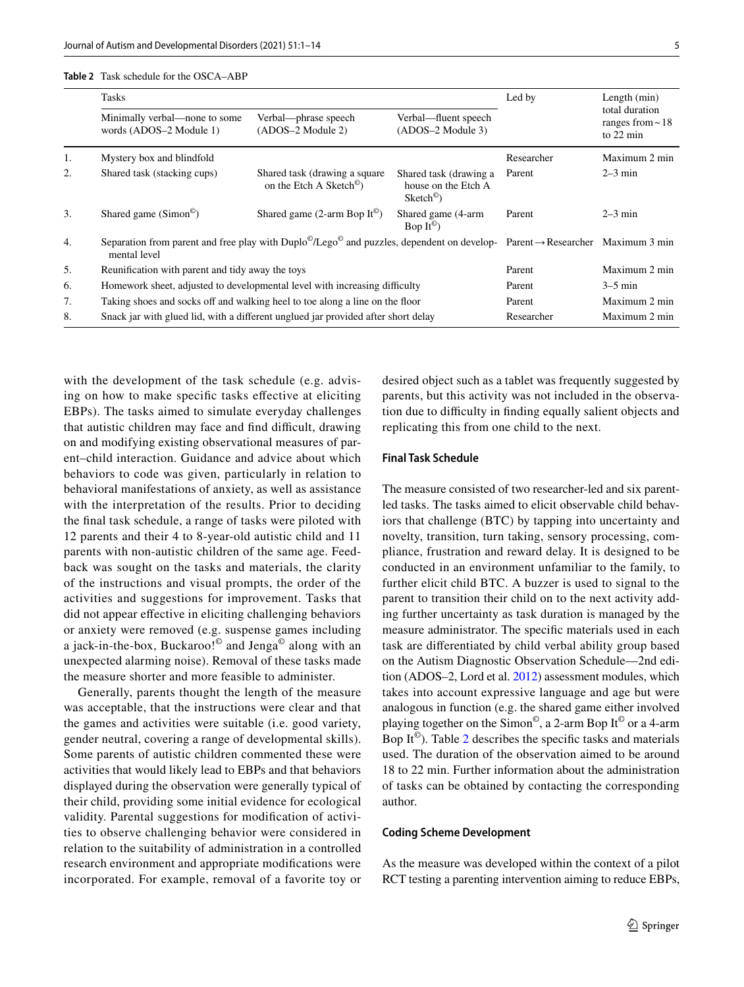<span id="page-4-0"></span>

| <b>Table 2</b> Task schedule for the OSCA-ABP |
|-----------------------------------------------|
|                                               |
|                                               |

|    | Tasks                                                                                                                                                     | Led by                                                               | Length $(min)$                                                           |            |                                                                |  |
|----|-----------------------------------------------------------------------------------------------------------------------------------------------------------|----------------------------------------------------------------------|--------------------------------------------------------------------------|------------|----------------------------------------------------------------|--|
|    | Minimally verbal—none to some<br>words (ADOS-2 Module 1)                                                                                                  | Verbal—phrase speech<br>(ADOS-2 Module 2)                            | Verbal-fluent speech<br>(ADOS-2 Module 3)                                |            | total duration<br>ranges from $\sim$ 18<br>to $22 \text{ min}$ |  |
| 1. | Mystery box and blindfold                                                                                                                                 |                                                                      |                                                                          | Researcher | Maximum 2 min                                                  |  |
| 2. | Shared task (stacking cups)                                                                                                                               | Shared task (drawing a square<br>on the Etch A Sketch <sup>o</sup> ) | Shared task (drawing a<br>house on the Etch A<br>$Sketch^{\circledcirc}$ | Parent     | $2-3$ min                                                      |  |
| 3. | Shared game (Simon <sup><math>\circ</math></sup> )<br>Shared game (2-arm Bop It <sup><math>\circ</math></sup> )<br>Shared game (4-arm<br>Bop $It^{\circ}$ |                                                                      |                                                                          | Parent     | $2-3$ min                                                      |  |
| 4. | Separation from parent and free play with Duplo <sup>©</sup> /Lego <sup>©</sup> and puzzles, dependent on develop-<br>mental level                        | Parent $\rightarrow$ Researcher Maximum 3 min                        |                                                                          |            |                                                                |  |
| 5. | Reunification with parent and tidy away the toys                                                                                                          | Parent                                                               | Maximum 2 min                                                            |            |                                                                |  |
| 6. | Homework sheet, adjusted to developmental level with increasing difficulty                                                                                |                                                                      |                                                                          | Parent     | $3-5$ min                                                      |  |
| 7. | Taking shoes and socks off and walking heel to toe along a line on the floor                                                                              |                                                                      |                                                                          | Parent     | Maximum 2 min                                                  |  |
| 8. | Snack jar with glued lid, with a different unglued jar provided after short delay                                                                         |                                                                      |                                                                          | Researcher | Maximum 2 min                                                  |  |

with the development of the task schedule (e.g. advising on how to make specifc tasks efective at eliciting EBPs). The tasks aimed to simulate everyday challenges that autistic children may face and find difficult, drawing on and modifying existing observational measures of parent–child interaction. Guidance and advice about which behaviors to code was given, particularly in relation to behavioral manifestations of anxiety, as well as assistance with the interpretation of the results. Prior to deciding the fnal task schedule, a range of tasks were piloted with 12 parents and their 4 to 8-year-old autistic child and 11 parents with non-autistic children of the same age. Feedback was sought on the tasks and materials, the clarity of the instructions and visual prompts, the order of the activities and suggestions for improvement. Tasks that did not appear efective in eliciting challenging behaviors or anxiety were removed (e.g. suspense games including a jack-in-the-box, Buckaroo!© and Jenga© along with an unexpected alarming noise). Removal of these tasks made the measure shorter and more feasible to administer.

Generally, parents thought the length of the measure was acceptable, that the instructions were clear and that the games and activities were suitable (i.e. good variety, gender neutral, covering a range of developmental skills). Some parents of autistic children commented these were activities that would likely lead to EBPs and that behaviors displayed during the observation were generally typical of their child, providing some initial evidence for ecological validity. Parental suggestions for modifcation of activities to observe challenging behavior were considered in relation to the suitability of administration in a controlled research environment and appropriate modifcations were incorporated. For example, removal of a favorite toy or desired object such as a tablet was frequently suggested by parents, but this activity was not included in the observation due to difficulty in finding equally salient objects and replicating this from one child to the next.

#### **Final Task Schedule**

The measure consisted of two researcher-led and six parentled tasks. The tasks aimed to elicit observable child behaviors that challenge (BTC) by tapping into uncertainty and novelty, transition, turn taking, sensory processing, compliance, frustration and reward delay. It is designed to be conducted in an environment unfamiliar to the family, to further elicit child BTC. A buzzer is used to signal to the parent to transition their child on to the next activity adding further uncertainty as task duration is managed by the measure administrator. The specifc materials used in each task are diferentiated by child verbal ability group based on the Autism Diagnostic Observation Schedule—2nd edition (ADOS–2, Lord et al. [2012\)](#page-12-24) assessment modules, which takes into account expressive language and age but were analogous in function (e.g. the shared game either involved playing together on the Simon©, a 2-arm Bop It© or a 4-arm Bop It<sup> $\circ$ </sup>). Table [2](#page-4-0) describes the specific tasks and materials used. The duration of the observation aimed to be around 18 to 22 min. Further information about the administration of tasks can be obtained by contacting the corresponding author.

#### **Coding Scheme Development**

As the measure was developed within the context of a pilot RCT testing a parenting intervention aiming to reduce EBPs,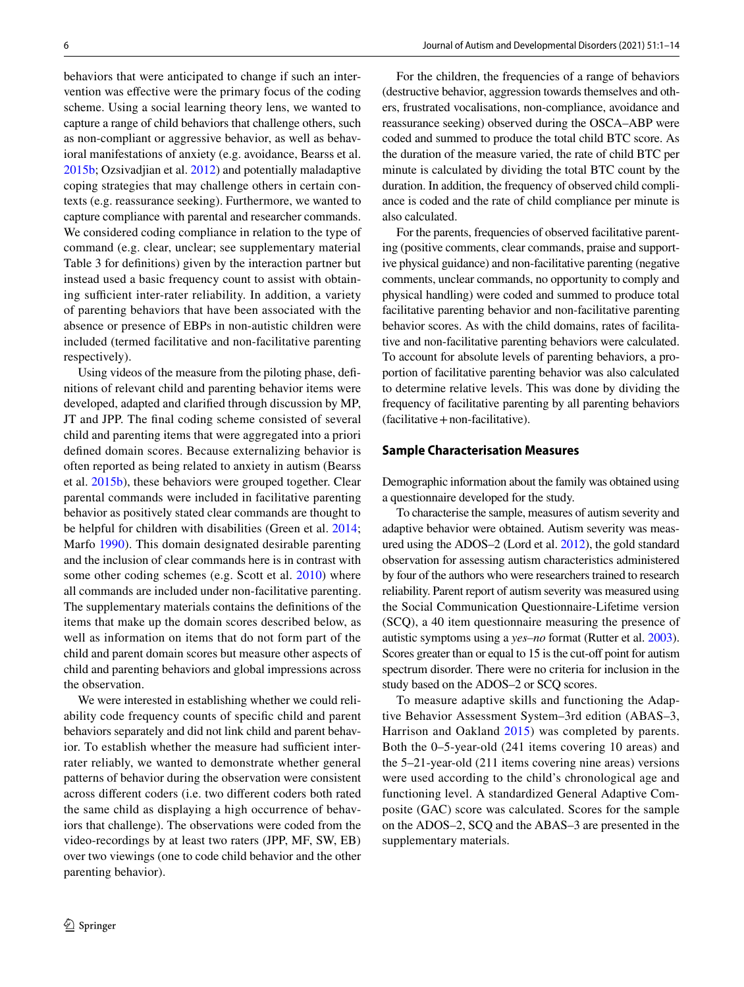behaviors that were anticipated to change if such an intervention was efective were the primary focus of the coding scheme. Using a social learning theory lens, we wanted to capture a range of child behaviors that challenge others, such as non-compliant or aggressive behavior, as well as behavioral manifestations of anxiety (e.g. avoidance, Bearss et al. [2015b](#page-11-4); Ozsivadjian et al. [2012\)](#page-12-10) and potentially maladaptive coping strategies that may challenge others in certain contexts (e.g. reassurance seeking). Furthermore, we wanted to capture compliance with parental and researcher commands. We considered coding compliance in relation to the type of command (e.g. clear, unclear; see supplementary material Table 3 for defnitions) given by the interaction partner but instead used a basic frequency count to assist with obtaining sufficient inter-rater reliability. In addition, a variety of parenting behaviors that have been associated with the absence or presence of EBPs in non-autistic children were included (termed facilitative and non-facilitative parenting respectively).

Using videos of the measure from the piloting phase, defnitions of relevant child and parenting behavior items were developed, adapted and clarifed through discussion by MP, JT and JPP. The fnal coding scheme consisted of several child and parenting items that were aggregated into a priori defned domain scores. Because externalizing behavior is often reported as being related to anxiety in autism (Bearss et al. [2015b](#page-11-4)), these behaviors were grouped together. Clear parental commands were included in facilitative parenting behavior as positively stated clear commands are thought to be helpful for children with disabilities (Green et al. [2014](#page-12-25); Marfo [1990\)](#page-12-26). This domain designated desirable parenting and the inclusion of clear commands here is in contrast with some other coding schemes (e.g. Scott et al. [2010\)](#page-12-27) where all commands are included under non-facilitative parenting. The supplementary materials contains the defnitions of the items that make up the domain scores described below, as well as information on items that do not form part of the child and parent domain scores but measure other aspects of child and parenting behaviors and global impressions across the observation.

We were interested in establishing whether we could reliability code frequency counts of specifc child and parent behaviors separately and did not link child and parent behavior. To establish whether the measure had sufficient interrater reliably, we wanted to demonstrate whether general patterns of behavior during the observation were consistent across diferent coders (i.e. two diferent coders both rated the same child as displaying a high occurrence of behaviors that challenge). The observations were coded from the video-recordings by at least two raters (JPP, MF, SW, EB) over two viewings (one to code child behavior and the other parenting behavior).

For the children, the frequencies of a range of behaviors (destructive behavior, aggression towards themselves and others, frustrated vocalisations, non-compliance, avoidance and reassurance seeking) observed during the OSCA–ABP were coded and summed to produce the total child BTC score. As the duration of the measure varied, the rate of child BTC per minute is calculated by dividing the total BTC count by the duration. In addition, the frequency of observed child compliance is coded and the rate of child compliance per minute is also calculated.

For the parents, frequencies of observed facilitative parenting (positive comments, clear commands, praise and supportive physical guidance) and non-facilitative parenting (negative comments, unclear commands, no opportunity to comply and physical handling) were coded and summed to produce total facilitative parenting behavior and non-facilitative parenting behavior scores. As with the child domains, rates of facilitative and non-facilitative parenting behaviors were calculated. To account for absolute levels of parenting behaviors, a proportion of facilitative parenting behavior was also calculated to determine relative levels. This was done by dividing the frequency of facilitative parenting by all parenting behaviors  $(facilitative+non-facilitative).$ 

#### **Sample Characterisation Measures**

Demographic information about the family was obtained using a questionnaire developed for the study.

To characterise the sample, measures of autism severity and adaptive behavior were obtained. Autism severity was measured using the ADOS–2 (Lord et al. [2012\)](#page-12-24), the gold standard observation for assessing autism characteristics administered by four of the authors who were researchers trained to research reliability. Parent report of autism severity was measured using the Social Communication Questionnaire-Lifetime version (SCQ), a 40 item questionnaire measuring the presence of autistic symptoms using a *yes–no* format (Rutter et al. [2003\)](#page-12-28). Scores greater than or equal to 15 is the cut-off point for autism spectrum disorder. There were no criteria for inclusion in the study based on the ADOS–2 or SCQ scores.

To measure adaptive skills and functioning the Adaptive Behavior Assessment System–3rd edition (ABAS–3, Harrison and Oakland [2015\)](#page-12-29) was completed by parents. Both the 0–5-year-old (241 items covering 10 areas) and the 5–21-year-old (211 items covering nine areas) versions were used according to the child's chronological age and functioning level. A standardized General Adaptive Composite (GAC) score was calculated. Scores for the sample on the ADOS–2, SCQ and the ABAS–3 are presented in the supplementary materials.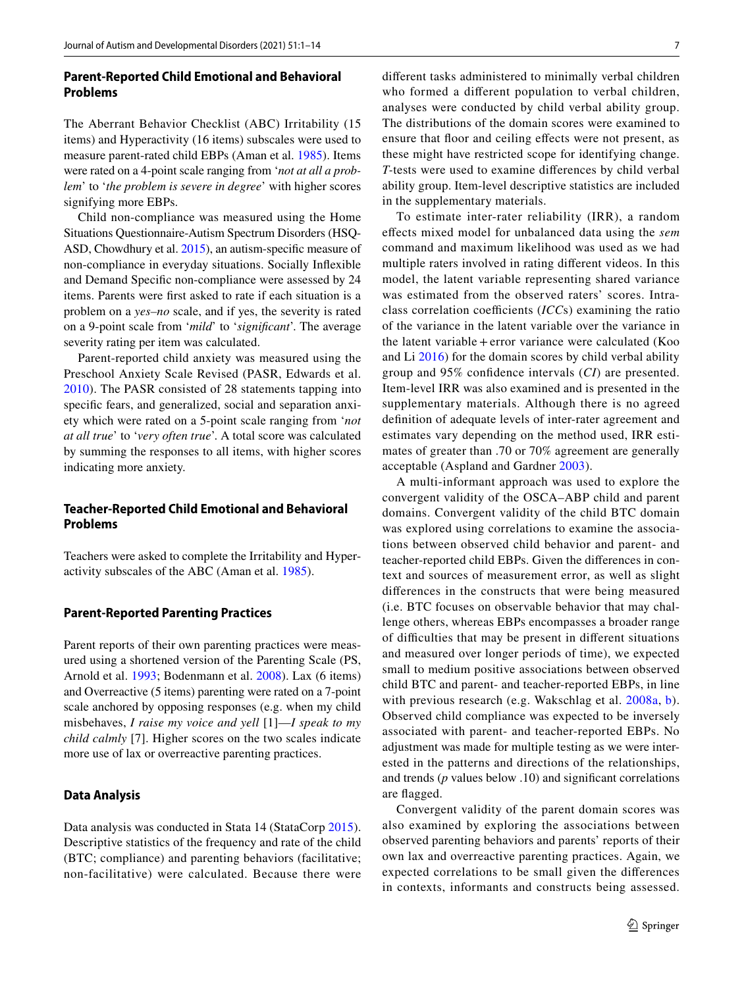# **Parent‑Reported Child Emotional and Behavioral Problems**

The Aberrant Behavior Checklist (ABC) Irritability (15 items) and Hyperactivity (16 items) subscales were used to measure parent-rated child EBPs (Aman et al. [1985](#page-11-9)). Items were rated on a 4-point scale ranging from '*not at all a problem*' to '*the problem is severe in degree*' with higher scores signifying more EBPs.

Child non-compliance was measured using the Home Situations Questionnaire-Autism Spectrum Disorders (HSQ-ASD, Chowdhury et al. [2015\)](#page-11-10), an autism-specifc measure of non-compliance in everyday situations. Socially Infexible and Demand Specifc non-compliance were assessed by 24 items. Parents were frst asked to rate if each situation is a problem on a *yes–no* scale, and if yes, the severity is rated on a 9-point scale from '*mild*' to '*signifcant*'. The average severity rating per item was calculated.

Parent-reported child anxiety was measured using the Preschool Anxiety Scale Revised (PASR, Edwards et al. [2010\)](#page-11-11). The PASR consisted of 28 statements tapping into specifc fears, and generalized, social and separation anxiety which were rated on a 5-point scale ranging from '*not at all true*' to '*very often true*'. A total score was calculated by summing the responses to all items, with higher scores indicating more anxiety.

## **Teacher‑Reported Child Emotional and Behavioral Problems**

Teachers were asked to complete the Irritability and Hyperactivity subscales of the ABC (Aman et al. [1985\)](#page-11-9).

#### **Parent‑Reported Parenting Practices**

Parent reports of their own parenting practices were measured using a shortened version of the Parenting Scale (PS, Arnold et al. [1993](#page-11-12); Bodenmann et al. [2008](#page-11-13)). Lax (6 items) and Overreactive (5 items) parenting were rated on a 7-point scale anchored by opposing responses (e.g. when my child misbehaves, *I raise my voice and yell* [1]—*I speak to my child calmly* [7]. Higher scores on the two scales indicate more use of lax or overreactive parenting practices.

#### **Data Analysis**

Data analysis was conducted in Stata 14 (StataCorp [2015](#page-13-8)). Descriptive statistics of the frequency and rate of the child (BTC; compliance) and parenting behaviors (facilitative; non-facilitative) were calculated. Because there were

diferent tasks administered to minimally verbal children who formed a diferent population to verbal children, analyses were conducted by child verbal ability group. The distributions of the domain scores were examined to ensure that foor and ceiling efects were not present, as these might have restricted scope for identifying change. *T-*tests were used to examine diferences by child verbal ability group. Item-level descriptive statistics are included in the supplementary materials.

To estimate inter-rater reliability (IRR), a random efects mixed model for unbalanced data using the *sem* command and maximum likelihood was used as we had multiple raters involved in rating diferent videos. In this model, the latent variable representing shared variance was estimated from the observed raters' scores. Intraclass correlation coefficients (*ICC*s) examining the ratio of the variance in the latent variable over the variance in the latent variable+error variance were calculated (Koo and Li [2016\)](#page-12-30) for the domain scores by child verbal ability group and 95% confdence intervals (*CI*) are presented. Item-level IRR was also examined and is presented in the supplementary materials. Although there is no agreed defnition of adequate levels of inter-rater agreement and estimates vary depending on the method used, IRR estimates of greater than .70 or 70% agreement are generally acceptable (Aspland and Gardner [2003\)](#page-11-6).

A multi-informant approach was used to explore the convergent validity of the OSCA–ABP child and parent domains. Convergent validity of the child BTC domain was explored using correlations to examine the associations between observed child behavior and parent- and teacher-reported child EBPs. Given the diferences in context and sources of measurement error, as well as slight diferences in the constructs that were being measured (i.e. BTC focuses on observable behavior that may challenge others, whereas EBPs encompasses a broader range of difculties that may be present in diferent situations and measured over longer periods of time), we expected small to medium positive associations between observed child BTC and parent- and teacher-reported EBPs, in line with previous research (e.g. Wakschlag et al. [2008a](#page-13-4), [b](#page-13-5)). Observed child compliance was expected to be inversely associated with parent- and teacher-reported EBPs. No adjustment was made for multiple testing as we were interested in the patterns and directions of the relationships, and trends (*p* values below .10) and signifcant correlations are fagged.

Convergent validity of the parent domain scores was also examined by exploring the associations between observed parenting behaviors and parents' reports of their own lax and overreactive parenting practices. Again, we expected correlations to be small given the diferences in contexts, informants and constructs being assessed.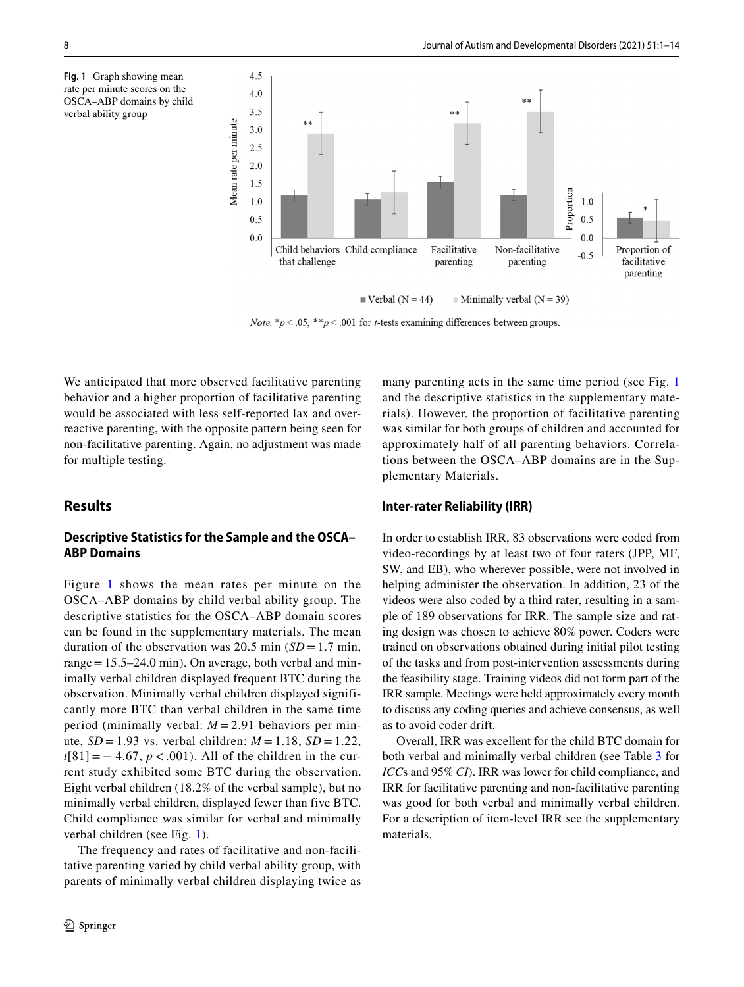<span id="page-7-0"></span>**Fig. 1** Graph showing mean rate per minute scores on the OSCA–ABP domains by child verbal ability group



*Note.* \* $p < .05$ , \*\* $p < .001$  for *t*-tests examining differences between groups.

We anticipated that more observed facilitative parenting behavior and a higher proportion of facilitative parenting would be associated with less self-reported lax and overreactive parenting, with the opposite pattern being seen for non-facilitative parenting. Again, no adjustment was made for multiple testing.

# **Results**

# **Descriptive Statistics for the Sample and the OSCA– ABP Domains**

Figure [1](#page-7-0) shows the mean rates per minute on the OSCA–ABP domains by child verbal ability group. The descriptive statistics for the OSCA–ABP domain scores can be found in the supplementary materials. The mean duration of the observation was 20.5 min  $SD = 1.7$  min, range  $=15.5-24.0$  min). On average, both verbal and minimally verbal children displayed frequent BTC during the observation. Minimally verbal children displayed significantly more BTC than verbal children in the same time period (minimally verbal:  $M = 2.91$  behaviors per minute, *SD* = 1.93 vs. verbal children: *M* = 1.18, *SD* = 1.22,  $t[81] = -4.67$ ,  $p < .001$ ). All of the children in the current study exhibited some BTC during the observation. Eight verbal children (18.2% of the verbal sample), but no minimally verbal children, displayed fewer than five BTC. Child compliance was similar for verbal and minimally verbal children (see Fig. [1\)](#page-7-0).

The frequency and rates of facilitative and non-facilitative parenting varied by child verbal ability group, with parents of minimally verbal children displaying twice as and the descriptive statistics in the supplementary materials). However, the proportion of facilitative parenting was similar for both groups of children and accounted for approximately half of all parenting behaviors. Correlations between the OSCA–ABP domains are in the Supplementary Materials.

many parenting acts in the same time period (see Fig. [1](#page-7-0)

# **Inter‑rater Reliability (IRR)**

In order to establish IRR, 83 observations were coded from video-recordings by at least two of four raters (JPP, MF, SW, and EB), who wherever possible, were not involved in helping administer the observation. In addition, 23 of the videos were also coded by a third rater, resulting in a sample of 189 observations for IRR. The sample size and rating design was chosen to achieve 80% power. Coders were trained on observations obtained during initial pilot testing of the tasks and from post-intervention assessments during the feasibility stage. Training videos did not form part of the IRR sample. Meetings were held approximately every month to discuss any coding queries and achieve consensus, as well as to avoid coder drift.

Overall, IRR was excellent for the child BTC domain for both verbal and minimally verbal children (see Table [3](#page-8-0) for *ICC*s and 95% *CI*). IRR was lower for child compliance, and IRR for facilitative parenting and non-facilitative parenting was good for both verbal and minimally verbal children. For a description of item-level IRR see the supplementary materials.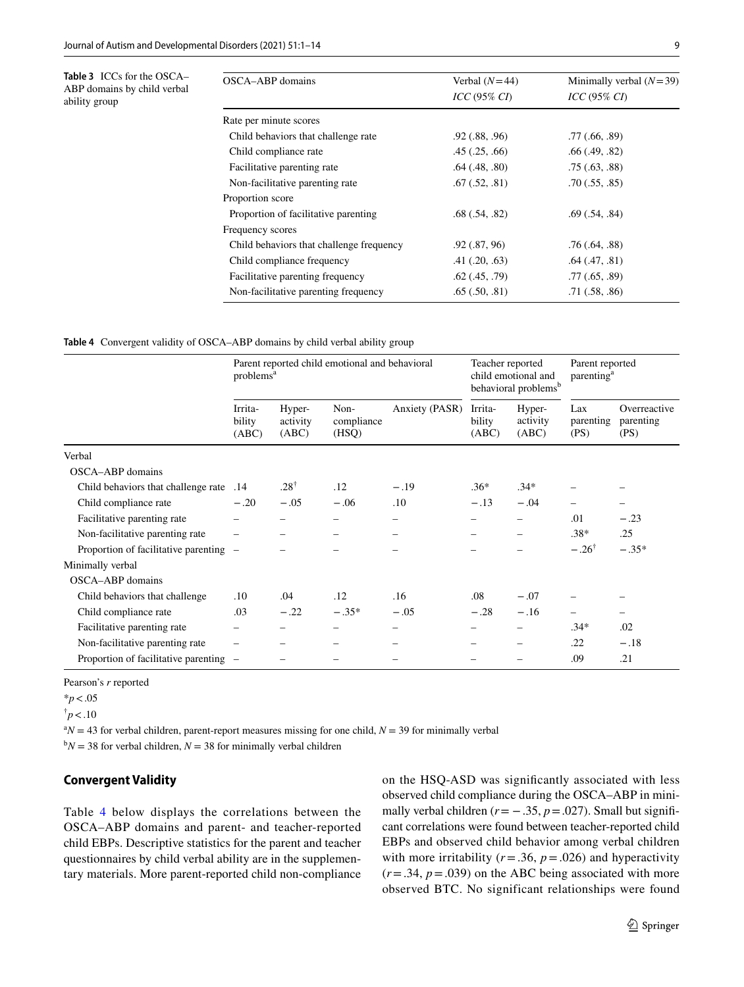<span id="page-8-0"></span>**Table 3** ICCs for the OSCA– ABP domains by child verbal

ability group

| OSCA-ABP domains                         | Verbal $(N=44)$    | Minimally verbal $(N=39)$ |  |  |
|------------------------------------------|--------------------|---------------------------|--|--|
|                                          | $ICC(95\% CI)$     | $ICC(95\% CI)$            |  |  |
| Rate per minute scores                   |                    |                           |  |  |
| Child behaviors that challenge rate      | $.92$ $(.88, .96)$ | .77(0.66,0.89)            |  |  |
| Child compliance rate                    | $.45$ $(.25, .66)$ | .66(0.49,0.82)            |  |  |
| Facilitative parenting rate              | $.64$ $(.48, .80)$ | .75(.63, .88)             |  |  |
| Non-facilitative parenting rate          | $.67$ $(.52, .81)$ | $.70$ $(.55, .85)$        |  |  |
| Proportion score                         |                    |                           |  |  |
| Proportion of facilitative parenting     | $.68$ $(.54, .82)$ | $.69$ $(.54, .84)$        |  |  |
| Frequency scores                         |                    |                           |  |  |
| Child behaviors that challenge frequency | $.92$ $(.87, 96)$  | $.76$ (.64, .88)          |  |  |
| Child compliance frequency               | $.41$ $(.20, .63)$ | $.64$ $(.47, .81)$        |  |  |
| Facilitative parenting frequency         | $.62$ $(.45, .79)$ | .77(0.65,0.89)            |  |  |
| Non-facilitative parenting frequency     | $.65$ $(.50, .81)$ | $.71 \,(.58, .86)$        |  |  |

<span id="page-8-1"></span>**Table 4** Convergent validity of OSCA–ABP domains by child verbal ability group

|                                      | Parent reported child emotional and behavioral<br>problems <sup>a</sup> |                             |                             |                          | Teacher reported<br>child emotional and<br>behavioral problems <sup>b</sup> |                             | Parent reported<br>parenting <sup>a</sup> |                                   |
|--------------------------------------|-------------------------------------------------------------------------|-----------------------------|-----------------------------|--------------------------|-----------------------------------------------------------------------------|-----------------------------|-------------------------------------------|-----------------------------------|
|                                      | Irrita-<br>bility<br>(ABC)                                              | Hyper-<br>activity<br>(ABC) | Non-<br>compliance<br>(HSQ) | Anxiety (PASR)           | Irrita-<br>bility<br>(ABC)                                                  | Hyper-<br>activity<br>(ABC) | Lax<br>parenting<br>(PS)                  | Overreactive<br>parenting<br>(PS) |
| Verbal                               |                                                                         |                             |                             |                          |                                                                             |                             |                                           |                                   |
| OSCA-ABP domains                     |                                                                         |                             |                             |                          |                                                                             |                             |                                           |                                   |
| Child behaviors that challenge rate  | .14                                                                     | $.28^{\dagger}$             | .12                         | $-.19$                   | $.36*$                                                                      | $.34*$                      |                                           |                                   |
| Child compliance rate                | $-.20$                                                                  | $-.05$                      | $-.06$                      | .10                      | $-.13$                                                                      | $-.04$                      |                                           |                                   |
| Facilitative parenting rate          |                                                                         |                             |                             | -                        |                                                                             | $\overline{\phantom{0}}$    | .01                                       | $-.23$                            |
| Non-facilitative parenting rate      |                                                                         |                             |                             | -                        |                                                                             |                             | $.38*$                                    | .25                               |
| Proportion of facilitative parenting | $\overline{\phantom{a}}$                                                |                             |                             | -                        |                                                                             |                             | $-.26^{\dagger}$                          | $-.35*$                           |
| Minimally verbal                     |                                                                         |                             |                             |                          |                                                                             |                             |                                           |                                   |
| OSCA-ABP domains                     |                                                                         |                             |                             |                          |                                                                             |                             |                                           |                                   |
| Child behaviors that challenge       | .10                                                                     | .04                         | .12                         | .16                      | .08                                                                         | $-.07$                      |                                           |                                   |
| Child compliance rate                | .03                                                                     | $-.22$                      | $-.35*$                     | $-.05$                   | $-.28$                                                                      | $-.16$                      |                                           |                                   |
| Facilitative parenting rate          | $\overline{\phantom{0}}$                                                |                             | $\overline{\phantom{0}}$    | $\overline{\phantom{0}}$ |                                                                             |                             | $.34*$                                    | .02                               |
| Non-facilitative parenting rate      | -                                                                       |                             | $\overline{\phantom{0}}$    | -                        |                                                                             | -                           | .22                                       | $-.18$                            |
| Proportion of facilitative parenting | $\overline{\phantom{m}}$                                                |                             |                             |                          |                                                                             |                             | .09                                       | .21                               |

Pearson's *r* reported

\**p*<.05

 $\frac{1}{p}$  < .10

 $N = 43$  for verbal children, parent-report measures missing for one child,  $N = 39$  for minimally verbal

 $bN = 38$  for verbal children,  $N = 38$  for minimally verbal children

## **Convergent Validity**

Table [4](#page-8-1) below displays the correlations between the OSCA–ABP domains and parent- and teacher-reported child EBPs. Descriptive statistics for the parent and teacher questionnaires by child verbal ability are in the supplementary materials. More parent-reported child non-compliance on the HSQ-ASD was signifcantly associated with less observed child compliance during the OSCA–ABP in minimally verbal children ( $r = -.35$ ,  $p = .027$ ). Small but significant correlations were found between teacher-reported child EBPs and observed child behavior among verbal children with more irritability  $(r=.36, p=.026)$  and hyperactivity  $(r=.34, p=.039)$  on the ABC being associated with more observed BTC. No significant relationships were found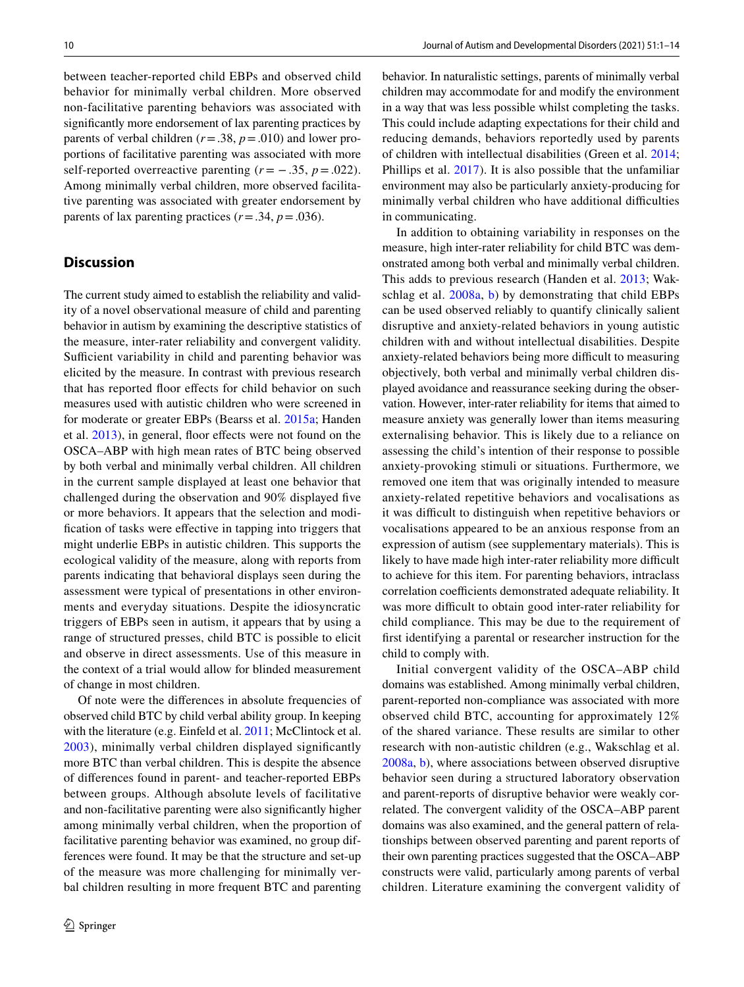between teacher-reported child EBPs and observed child behavior for minimally verbal children. More observed non-facilitative parenting behaviors was associated with signifcantly more endorsement of lax parenting practices by parents of verbal children (*r*=.38, *p*=.010) and lower proportions of facilitative parenting was associated with more self-reported overreactive parenting  $(r = -.35, p = .022)$ . Among minimally verbal children, more observed facilitative parenting was associated with greater endorsement by parents of lax parenting practices  $(r=.34, p=.036)$ .

# **Discussion**

The current study aimed to establish the reliability and validity of a novel observational measure of child and parenting behavior in autism by examining the descriptive statistics of the measure, inter-rater reliability and convergent validity. Sufficient variability in child and parenting behavior was elicited by the measure. In contrast with previous research that has reported floor effects for child behavior on such measures used with autistic children who were screened in for moderate or greater EBPs (Bearss et al. [2015a](#page-11-8); Handen et al. [2013](#page-12-17)), in general, foor efects were not found on the OSCA–ABP with high mean rates of BTC being observed by both verbal and minimally verbal children. All children in the current sample displayed at least one behavior that challenged during the observation and 90% displayed fve or more behaviors. It appears that the selection and modification of tasks were effective in tapping into triggers that might underlie EBPs in autistic children. This supports the ecological validity of the measure, along with reports from parents indicating that behavioral displays seen during the assessment were typical of presentations in other environments and everyday situations. Despite the idiosyncratic triggers of EBPs seen in autism, it appears that by using a range of structured presses, child BTC is possible to elicit and observe in direct assessments. Use of this measure in the context of a trial would allow for blinded measurement of change in most children.

Of note were the diferences in absolute frequencies of observed child BTC by child verbal ability group. In keeping with the literature (e.g. Einfeld et al. [2011;](#page-11-14) McClintock et al. [2003\)](#page-12-31), minimally verbal children displayed signifcantly more BTC than verbal children. This is despite the absence of diferences found in parent- and teacher-reported EBPs between groups. Although absolute levels of facilitative and non-facilitative parenting were also signifcantly higher among minimally verbal children, when the proportion of facilitative parenting behavior was examined, no group differences were found. It may be that the structure and set-up of the measure was more challenging for minimally verbal children resulting in more frequent BTC and parenting behavior. In naturalistic settings, parents of minimally verbal children may accommodate for and modify the environment in a way that was less possible whilst completing the tasks. This could include adapting expectations for their child and reducing demands, behaviors reportedly used by parents of children with intellectual disabilities (Green et al. [2014](#page-12-25); Phillips et al. [2017](#page-12-32)). It is also possible that the unfamiliar environment may also be particularly anxiety-producing for minimally verbal children who have additional difficulties in communicating.

In addition to obtaining variability in responses on the measure, high inter-rater reliability for child BTC was demonstrated among both verbal and minimally verbal children. This adds to previous research (Handen et al. [2013](#page-12-17); Wakschlag et al. [2008a](#page-13-4), [b](#page-13-5)) by demonstrating that child EBPs can be used observed reliably to quantify clinically salient disruptive and anxiety-related behaviors in young autistic children with and without intellectual disabilities. Despite anxiety-related behaviors being more difficult to measuring objectively, both verbal and minimally verbal children displayed avoidance and reassurance seeking during the observation. However, inter-rater reliability for items that aimed to measure anxiety was generally lower than items measuring externalising behavior. This is likely due to a reliance on assessing the child's intention of their response to possible anxiety-provoking stimuli or situations. Furthermore, we removed one item that was originally intended to measure anxiety-related repetitive behaviors and vocalisations as it was difcult to distinguish when repetitive behaviors or vocalisations appeared to be an anxious response from an expression of autism (see supplementary materials). This is likely to have made high inter-rater reliability more difficult to achieve for this item. For parenting behaviors, intraclass correlation coefficients demonstrated adequate reliability. It was more difficult to obtain good inter-rater reliability for child compliance. This may be due to the requirement of frst identifying a parental or researcher instruction for the child to comply with.

Initial convergent validity of the OSCA–ABP child domains was established. Among minimally verbal children, parent-reported non-compliance was associated with more observed child BTC, accounting for approximately 12% of the shared variance. These results are similar to other research with non-autistic children (e.g., Wakschlag et al. [2008a,](#page-13-4) [b](#page-13-5)), where associations between observed disruptive behavior seen during a structured laboratory observation and parent-reports of disruptive behavior were weakly correlated. The convergent validity of the OSCA–ABP parent domains was also examined, and the general pattern of relationships between observed parenting and parent reports of their own parenting practices suggested that the OSCA–ABP constructs were valid, particularly among parents of verbal children. Literature examining the convergent validity of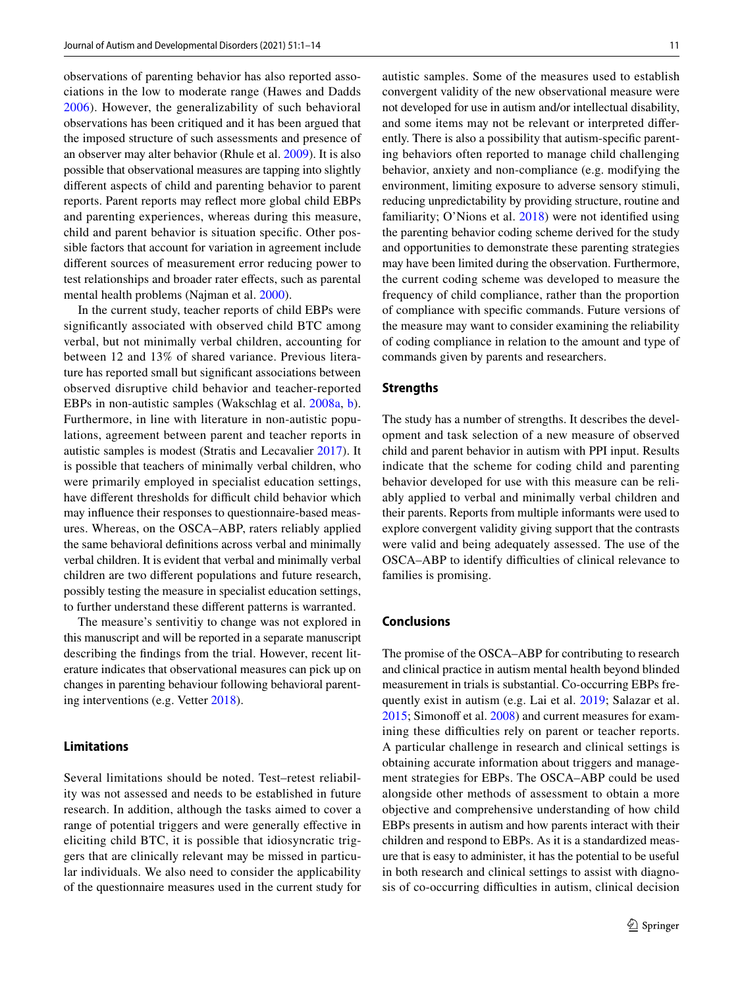observations of parenting behavior has also reported associations in the low to moderate range (Hawes and Dadds [2006\)](#page-12-21). However, the generalizability of such behavioral observations has been critiqued and it has been argued that the imposed structure of such assessments and presence of an observer may alter behavior (Rhule et al. [2009](#page-12-33)). It is also possible that observational measures are tapping into slightly diferent aspects of child and parenting behavior to parent reports. Parent reports may refect more global child EBPs and parenting experiences, whereas during this measure, child and parent behavior is situation specifc. Other possible factors that account for variation in agreement include diferent sources of measurement error reducing power to test relationships and broader rater efects, such as parental mental health problems (Najman et al. [2000\)](#page-12-34).

In the current study, teacher reports of child EBPs were signifcantly associated with observed child BTC among verbal, but not minimally verbal children, accounting for between 12 and 13% of shared variance. Previous literature has reported small but signifcant associations between observed disruptive child behavior and teacher-reported EBPs in non-autistic samples (Wakschlag et al. [2008a,](#page-13-4) [b](#page-13-5)). Furthermore, in line with literature in non-autistic populations, agreement between parent and teacher reports in autistic samples is modest (Stratis and Lecavalier [2017](#page-13-9)). It is possible that teachers of minimally verbal children, who were primarily employed in specialist education settings, have different thresholds for difficult child behavior which may infuence their responses to questionnaire-based measures. Whereas, on the OSCA–ABP, raters reliably applied the same behavioral defnitions across verbal and minimally verbal children. It is evident that verbal and minimally verbal children are two diferent populations and future research, possibly testing the measure in specialist education settings, to further understand these diferent patterns is warranted.

The measure's sentivitiy to change was not explored in this manuscript and will be reported in a separate manuscript describing the fndings from the trial. However, recent literature indicates that observational measures can pick up on changes in parenting behaviour following behavioral parenting interventions (e.g. Vetter [2018](#page-13-10)).

#### **Limitations**

Several limitations should be noted. Test–retest reliability was not assessed and needs to be established in future research. In addition, although the tasks aimed to cover a range of potential triggers and were generally efective in eliciting child BTC, it is possible that idiosyncratic triggers that are clinically relevant may be missed in particular individuals. We also need to consider the applicability of the questionnaire measures used in the current study for autistic samples. Some of the measures used to establish convergent validity of the new observational measure were not developed for use in autism and/or intellectual disability, and some items may not be relevant or interpreted diferently. There is also a possibility that autism-specifc parenting behaviors often reported to manage child challenging behavior, anxiety and non-compliance (e.g. modifying the environment, limiting exposure to adverse sensory stimuli, reducing unpredictability by providing structure, routine and familiarity; O'Nions et al. [2018](#page-12-14)) were not identifed using the parenting behavior coding scheme derived for the study and opportunities to demonstrate these parenting strategies may have been limited during the observation. Furthermore, the current coding scheme was developed to measure the frequency of child compliance, rather than the proportion of compliance with specifc commands. Future versions of the measure may want to consider examining the reliability of coding compliance in relation to the amount and type of commands given by parents and researchers.

## **Strengths**

The study has a number of strengths. It describes the development and task selection of a new measure of observed child and parent behavior in autism with PPI input. Results indicate that the scheme for coding child and parenting behavior developed for use with this measure can be reliably applied to verbal and minimally verbal children and their parents. Reports from multiple informants were used to explore convergent validity giving support that the contrasts were valid and being adequately assessed. The use of the OSCA-ABP to identify difficulties of clinical relevance to families is promising.

## **Conclusions**

The promise of the OSCA–ABP for contributing to research and clinical practice in autism mental health beyond blinded measurement in trials is substantial. Co-occurring EBPs frequently exist in autism (e.g. Lai et al. [2019;](#page-12-1) Salazar et al.  $2015$ ; Simonoff et al.  $2008$ ) and current measures for examining these difficulties rely on parent or teacher reports. A particular challenge in research and clinical settings is obtaining accurate information about triggers and management strategies for EBPs. The OSCA–ABP could be used alongside other methods of assessment to obtain a more objective and comprehensive understanding of how child EBPs presents in autism and how parents interact with their children and respond to EBPs. As it is a standardized measure that is easy to administer, it has the potential to be useful in both research and clinical settings to assist with diagnosis of co-occurring difficulties in autism, clinical decision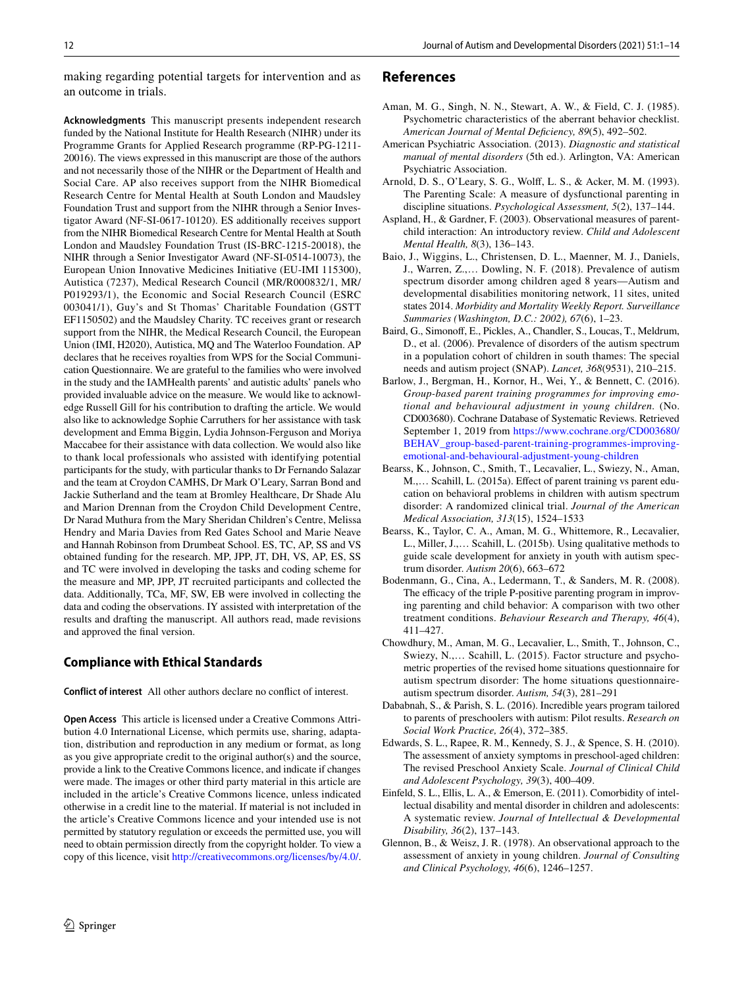making regarding potential targets for intervention and as an outcome in trials.

**Acknowledgments** This manuscript presents independent research funded by the National Institute for Health Research (NIHR) under its Programme Grants for Applied Research programme (RP-PG-1211- 20016). The views expressed in this manuscript are those of the authors and not necessarily those of the NIHR or the Department of Health and Social Care. AP also receives support from the NIHR Biomedical Research Centre for Mental Health at South London and Maudsley Foundation Trust and support from the NIHR through a Senior Investigator Award (NF-SI-0617-10120). ES additionally receives support from the NIHR Biomedical Research Centre for Mental Health at South London and Maudsley Foundation Trust (IS-BRC-1215-20018), the NIHR through a Senior Investigator Award (NF-SI-0514-10073), the European Union Innovative Medicines Initiative (EU-IMI 115300), Autistica (7237), Medical Research Council (MR/R000832/1, MR/ P019293/1), the Economic and Social Research Council (ESRC 003041/1), Guy's and St Thomas' Charitable Foundation (GSTT EF1150502) and the Maudsley Charity. TC receives grant or research support from the NIHR, the Medical Research Council, the European Union (IMI, H2020), Autistica, MQ and The Waterloo Foundation. AP declares that he receives royalties from WPS for the Social Communication Questionnaire. We are grateful to the families who were involved in the study and the IAMHealth parents' and autistic adults' panels who provided invaluable advice on the measure. We would like to acknowledge Russell Gill for his contribution to drafting the article. We would also like to acknowledge Sophie Carruthers for her assistance with task development and Emma Biggin, Lydia Johnson-Ferguson and Moriya Maccabee for their assistance with data collection. We would also like to thank local professionals who assisted with identifying potential participants for the study, with particular thanks to Dr Fernando Salazar and the team at Croydon CAMHS, Dr Mark O'Leary, Sarran Bond and Jackie Sutherland and the team at Bromley Healthcare, Dr Shade Alu and Marion Drennan from the Croydon Child Development Centre, Dr Narad Muthura from the Mary Sheridan Children's Centre, Melissa Hendry and Maria Davies from Red Gates School and Marie Neave and Hannah Robinson from Drumbeat School. ES, TC, AP, SS and VS obtained funding for the research. MP, JPP, JT, DH, VS, AP, ES, SS and TC were involved in developing the tasks and coding scheme for the measure and MP, JPP, JT recruited participants and collected the data. Additionally, TCa, MF, SW, EB were involved in collecting the data and coding the observations. IY assisted with interpretation of the results and drafting the manuscript. All authors read, made revisions and approved the fnal version.

## **Compliance with Ethical Standards**

**Conflict of interest** All other authors declare no confict of interest.

**Open Access** This article is licensed under a Creative Commons Attribution 4.0 International License, which permits use, sharing, adaptation, distribution and reproduction in any medium or format, as long as you give appropriate credit to the original author(s) and the source, provide a link to the Creative Commons licence, and indicate if changes were made. The images or other third party material in this article are included in the article's Creative Commons licence, unless indicated otherwise in a credit line to the material. If material is not included in the article's Creative Commons licence and your intended use is not permitted by statutory regulation or exceeds the permitted use, you will need to obtain permission directly from the copyright holder. To view a copy of this licence, visit <http://creativecommons.org/licenses/by/4.0/>.

- <span id="page-11-9"></span>Aman, M. G., Singh, N. N., Stewart, A. W., & Field, C. J. (1985). Psychometric characteristics of the aberrant behavior checklist. *American Journal of Mental Defciency, 89*(5), 492–502.
- <span id="page-11-0"></span>American Psychiatric Association. (2013). *Diagnostic and statistical manual of mental disorders* (5th ed.). Arlington, VA: American Psychiatric Association.
- <span id="page-11-12"></span>Arnold, D. S., O'Leary, S. G., Wolf, L. S., & Acker, M. M. (1993). The Parenting Scale: A measure of dysfunctional parenting in discipline situations. *Psychological Assessment, 5*(2), 137–144.
- <span id="page-11-6"></span>Aspland, H., & Gardner, F. (2003). Observational measures of parentchild interaction: An introductory review. *Child and Adolescent Mental Health, 8*(3), 136–143.
- <span id="page-11-1"></span>Baio, J., Wiggins, L., Christensen, D. L., Maenner, M. J., Daniels, J., Warren, Z.,… Dowling, N. F. (2018). Prevalence of autism spectrum disorder among children aged 8 years—Autism and developmental disabilities monitoring network, 11 sites, united states 2014. *Morbidity and Mortality Weekly Report. Surveillance Summaries (Washington, D.C.: 2002), 67*(6), 1–23.
- <span id="page-11-2"></span>Baird, G., Simonof, E., Pickles, A., Chandler, S., Loucas, T., Meldrum, D., et al. (2006). Prevalence of disorders of the autism spectrum in a population cohort of children in south thames: The special needs and autism project (SNAP). *Lancet, 368*(9531), 210–215.
- <span id="page-11-3"></span>Barlow, J., Bergman, H., Kornor, H., Wei, Y., & Bennett, C. (2016). *Group-based parent training programmes for improving emotional and behavioural adjustment in young children.* (No. CD003680). Cochrane Database of Systematic Reviews. Retrieved September 1, 2019 from [https://www.cochrane.org/CD003680/](https://www.cochrane.org/CD003680/BEHAV_group-based-parent-training-programmes-improving-emotional-and-behavioural-adjustment-young-children) [BEHAV\\_group-based-parent-training-programmes-improving](https://www.cochrane.org/CD003680/BEHAV_group-based-parent-training-programmes-improving-emotional-and-behavioural-adjustment-young-children)[emotional-and-behavioural-adjustment-young-children](https://www.cochrane.org/CD003680/BEHAV_group-based-parent-training-programmes-improving-emotional-and-behavioural-adjustment-young-children)
- <span id="page-11-8"></span>Bearss, K., Johnson, C., Smith, T., Lecavalier, L., Swiezy, N., Aman, M.,… Scahill, L. (2015a). Efect of parent training vs parent education on behavioral problems in children with autism spectrum disorder: A randomized clinical trial. *Journal of the American Medical Association, 313*(15), 1524–1533
- <span id="page-11-4"></span>Bearss, K., Taylor, C. A., Aman, M. G., Whittemore, R., Lecavalier, L., Miller, J.,… Scahill, L. (2015b). Using qualitative methods to guide scale development for anxiety in youth with autism spectrum disorder. *Autism 20*(6), 663–672
- <span id="page-11-13"></span>Bodenmann, G., Cina, A., Ledermann, T., & Sanders, M. R. (2008). The efficacy of the triple P-positive parenting program in improving parenting and child behavior: A comparison with two other treatment conditions. *Behaviour Research and Therapy, 46*(4), 411–427.
- <span id="page-11-10"></span>Chowdhury, M., Aman, M. G., Lecavalier, L., Smith, T., Johnson, C., Swiezy, N.,… Scahill, L. (2015). Factor structure and psychometric properties of the revised home situations questionnaire for autism spectrum disorder: The home situations questionnaireautism spectrum disorder. *Autism, 54*(3), 281–291
- <span id="page-11-5"></span>Dababnah, S., & Parish, S. L. (2016). Incredible years program tailored to parents of preschoolers with autism: Pilot results. *Research on Social Work Practice, 26*(4), 372–385.
- <span id="page-11-11"></span>Edwards, S. L., Rapee, R. M., Kennedy, S. J., & Spence, S. H. (2010). The assessment of anxiety symptoms in preschool-aged children: The revised Preschool Anxiety Scale. *Journal of Clinical Child and Adolescent Psychology, 39*(3), 400–409.
- <span id="page-11-14"></span>Einfeld, S. L., Ellis, L. A., & Emerson, E. (2011). Comorbidity of intellectual disability and mental disorder in children and adolescents: A systematic review. *Journal of Intellectual & Developmental Disability, 36*(2), 137–143.
- <span id="page-11-7"></span>Glennon, B., & Weisz, J. R. (1978). An observational approach to the assessment of anxiety in young children. *Journal of Consulting and Clinical Psychology, 46*(6), 1246–1257.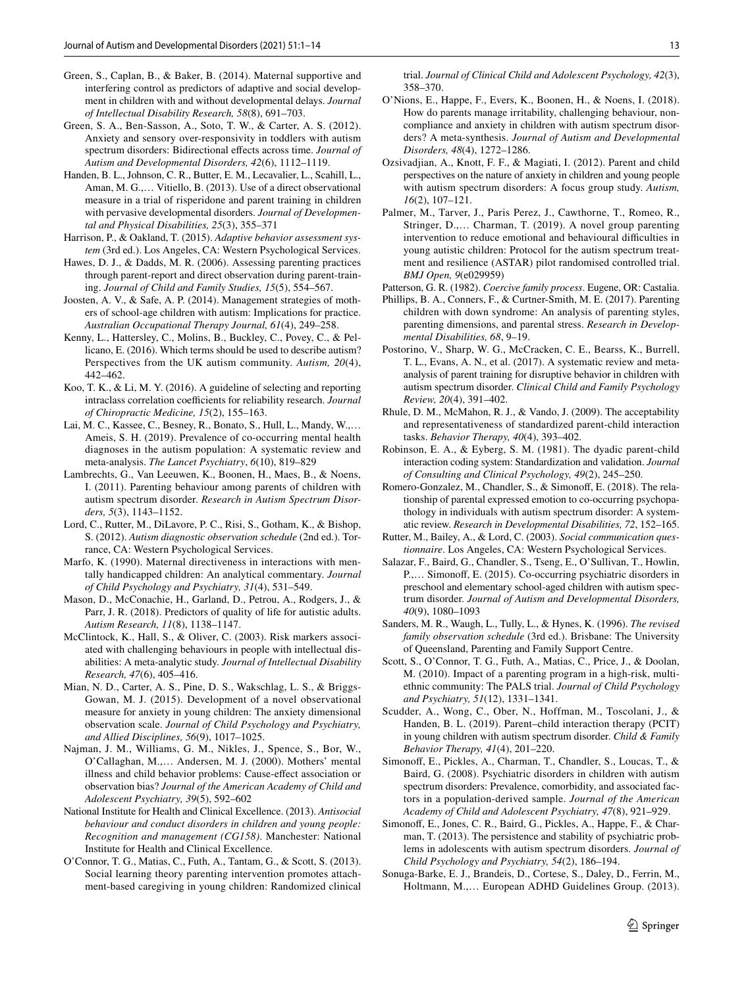- <span id="page-12-25"></span>Green, S., Caplan, B., & Baker, B. (2014). Maternal supportive and interfering control as predictors of adaptive and social development in children with and without developmental delays. *Journal of Intellectual Disability Research, 58*(8), 691–703.
- <span id="page-12-9"></span>Green, S. A., Ben-Sasson, A., Soto, T. W., & Carter, A. S. (2012). Anxiety and sensory over-responsivity in toddlers with autism spectrum disorders: Bidirectional efects across time. *Journal of Autism and Developmental Disorders, 42*(6), 1112–1119.
- <span id="page-12-17"></span>Handen, B. L., Johnson, C. R., Butter, E. M., Lecavalier, L., Scahill, L., Aman, M. G.,… Vitiello, B. (2013). Use of a direct observational measure in a trial of risperidone and parent training in children with pervasive developmental disorders. *Journal of Developmental and Physical Disabilities, 25*(3), 355–371
- <span id="page-12-29"></span>Harrison, P., & Oakland, T. (2015). *Adaptive behavior assessment system* (3rd ed.). Los Angeles, CA: Western Psychological Services.
- <span id="page-12-21"></span>Hawes, D. J., & Dadds, M. R. (2006). Assessing parenting practices through parent-report and direct observation during parent-training. *Journal of Child and Family Studies, 15*(5), 554–567.
- <span id="page-12-12"></span>Joosten, A. V., & Safe, A. P. (2014). Management strategies of mothers of school-age children with autism: Implications for practice. *Australian Occupational Therapy Journal, 61*(4), 249–258.
- <span id="page-12-0"></span>Kenny, L., Hattersley, C., Molins, B., Buckley, C., Povey, C., & Pellicano, E. (2016). Which terms should be used to describe autism? Perspectives from the UK autism community. *Autism, 20*(4), 442–462.
- <span id="page-12-30"></span>Koo, T. K., & Li, M. Y. (2016). A guideline of selecting and reporting intraclass correlation coefficients for reliability research. *Journal of Chiropractic Medicine, 15*(2), 155–163.
- <span id="page-12-1"></span>Lai, M. C., Kassee, C., Besney, R., Bonato, S., Hull, L., Mandy, W.,… Ameis, S. H. (2019). Prevalence of co-occurring mental health diagnoses in the autism population: A systematic review and meta-analysis. *The Lancet Psychiatry*, *6*(10), 819–829
- <span id="page-12-13"></span>Lambrechts, G., Van Leeuwen, K., Boonen, H., Maes, B., & Noens, I. (2011). Parenting behaviour among parents of children with autism spectrum disorder. *Research in Autism Spectrum Disorders, 5*(3), 1143–1152.
- <span id="page-12-24"></span>Lord, C., Rutter, M., DiLavore, P. C., Risi, S., Gotham, K., & Bishop, S. (2012). *Autism diagnostic observation schedule* (2nd ed.). Torrance, CA: Western Psychological Services.
- <span id="page-12-26"></span>Marfo, K. (1990). Maternal directiveness in interactions with mentally handicapped children: An analytical commentary. *Journal of Child Psychology and Psychiatry, 31*(4), 531–549.
- <span id="page-12-5"></span>Mason, D., McConachie, H., Garland, D., Petrou, A., Rodgers, J., & Parr, J. R. (2018). Predictors of quality of life for autistic adults. *Autism Research, 11*(8), 1138–1147.
- <span id="page-12-31"></span>McClintock, K., Hall, S., & Oliver, C. (2003). Risk markers associated with challenging behaviours in people with intellectual disabilities: A meta-analytic study. *Journal of Intellectual Disability Research, 47*(6), 405–416.
- <span id="page-12-20"></span>Mian, N. D., Carter, A. S., Pine, D. S., Wakschlag, L. S., & Briggs-Gowan, M. J. (2015). Development of a novel observational measure for anxiety in young children: The anxiety dimensional observation scale. *Journal of Child Psychology and Psychiatry, and Allied Disciplines, 56*(9), 1017–1025.
- <span id="page-12-34"></span>Najman, J. M., Williams, G. M., Nikles, J., Spence, S., Bor, W., O'Callaghan, M.,… Andersen, M. J. (2000). Mothers' mental illness and child behavior problems: Cause-efect association or observation bias? *Journal of the American Academy of Child and Adolescent Psychiatry, 39*(5), 592–602
- <span id="page-12-6"></span>National Institute for Health and Clinical Excellence. (2013). *Antisocial behaviour and conduct disorders in children and young people: Recognition and management (CG158)*. Manchester: National Institute for Health and Clinical Excellence.
- <span id="page-12-8"></span>O'Connor, T. G., Matias, C., Futh, A., Tantam, G., & Scott, S. (2013). Social learning theory parenting intervention promotes attachment-based caregiving in young children: Randomized clinical

trial. *Journal of Clinical Child and Adolescent Psychology, 42*(3), 358–370.

- <span id="page-12-14"></span>O'Nions, E., Happe, F., Evers, K., Boonen, H., & Noens, I. (2018). How do parents manage irritability, challenging behaviour, noncompliance and anxiety in children with autism spectrum disorders? A meta-synthesis. *Journal of Autism and Developmental Disorders, 48*(4), 1272–1286.
- <span id="page-12-10"></span>Ozsivadjian, A., Knott, F. F., & Magiati, I. (2012). Parent and child perspectives on the nature of anxiety in children and young people with autism spectrum disorders: A focus group study. *Autism, 16*(2), 107–121.
- <span id="page-12-23"></span>Palmer, M., Tarver, J., Paris Perez, J., Cawthorne, T., Romeo, R., Stringer, D.,… Charman, T. (2019). A novel group parenting intervention to reduce emotional and behavioural difficulties in young autistic children: Protocol for the autism spectrum treatment and resilience (ASTAR) pilot randomised controlled trial. *BMJ Open, 9*(e029959)

- <span id="page-12-32"></span>Phillips, B. A., Conners, F., & Curtner-Smith, M. E. (2017). Parenting children with down syndrome: An analysis of parenting styles, parenting dimensions, and parental stress. *Research in Developmental Disabilities, 68*, 9–19.
- <span id="page-12-15"></span>Postorino, V., Sharp, W. G., McCracken, C. E., Bearss, K., Burrell, T. L., Evans, A. N., et al. (2017). A systematic review and metaanalysis of parent training for disruptive behavior in children with autism spectrum disorder. *Clinical Child and Family Psychology Review, 20*(4), 391–402.
- <span id="page-12-33"></span>Rhule, D. M., McMahon, R. J., & Vando, J. (2009). The acceptability and representativeness of standardized parent-child interaction tasks. *Behavior Therapy, 40*(4), 393–402.
- <span id="page-12-18"></span>Robinson, E. A., & Eyberg, S. M. (1981). The dyadic parent-child interaction coding system: Standardization and validation. *Journal of Consulting and Clinical Psychology, 49*(2), 245–250.
- <span id="page-12-11"></span>Romero-Gonzalez, M., Chandler, S., & Simonof, E. (2018). The relationship of parental expressed emotion to co-occurring psychopathology in individuals with autism spectrum disorder: A systematic review. *Research in Developmental Disabilities, 72*, 152–165.
- <span id="page-12-28"></span>Rutter, M., Bailey, A., & Lord, C. (2003). *Social communication questionnaire*. Los Angeles, CA: Western Psychological Services.
- <span id="page-12-2"></span>Salazar, F., Baird, G., Chandler, S., Tseng, E., O'Sullivan, T., Howlin, P.,… Simonof, E. (2015). Co-occurring psychiatric disorders in preschool and elementary school-aged children with autism spectrum disorder. *Journal of Autism and Developmental Disorders, 40*(9), 1080–1093
- <span id="page-12-19"></span>Sanders, M. R., Waugh, L., Tully, L., & Hynes, K. (1996). *The revised family observation schedule* (3rd ed.). Brisbane: The University of Queensland, Parenting and Family Support Centre.
- <span id="page-12-27"></span>Scott, S., O'Connor, T. G., Futh, A., Matias, C., Price, J., & Doolan, M. (2010). Impact of a parenting program in a high-risk, multiethnic community: The PALS trial. *Journal of Child Psychology and Psychiatry, 51*(12), 1331–1341.
- <span id="page-12-22"></span>Scudder, A., Wong, C., Ober, N., Hoffman, M., Toscolani, J., & Handen, B. L. (2019). Parent–child interaction therapy (PCIT) in young children with autism spectrum disorder. *Child & Family Behavior Therapy, 41*(4), 201–220.
- <span id="page-12-3"></span>Simonof, E., Pickles, A., Charman, T., Chandler, S., Loucas, T., & Baird, G. (2008). Psychiatric disorders in children with autism spectrum disorders: Prevalence, comorbidity, and associated factors in a population-derived sample. *Journal of the American Academy of Child and Adolescent Psychiatry, 47*(8), 921–929.
- <span id="page-12-4"></span>Simonof, E., Jones, C. R., Baird, G., Pickles, A., Happe, F., & Charman, T. (2013). The persistence and stability of psychiatric problems in adolescents with autism spectrum disorders. *Journal of Child Psychology and Psychiatry, 54*(2), 186–194.
- <span id="page-12-16"></span>Sonuga-Barke, E. J., Brandeis, D., Cortese, S., Daley, D., Ferrin, M., Holtmann, M.,… European ADHD Guidelines Group. (2013).

<span id="page-12-7"></span>Patterson, G. R. (1982). *Coercive family process*. Eugene, OR: Castalia.